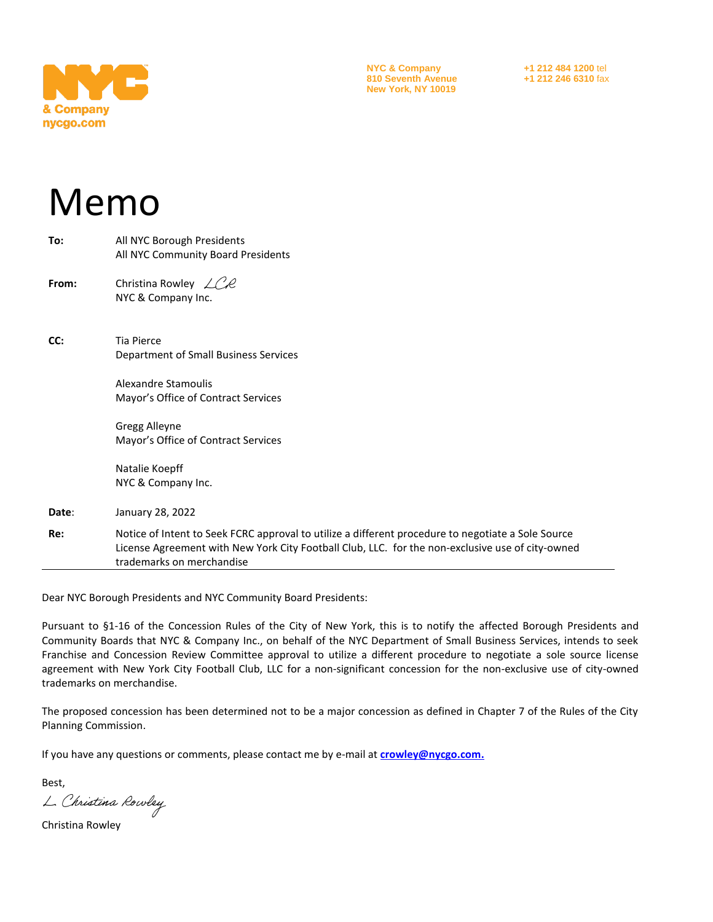

**NYC & Company +1 212 484 1200** tel **810 Seventh Avenue +1 212 246 6310** fax **New York, NY 10019**

# Memo

| Re:   | Notice of Intent to Seek FCRC approval to utilize a different procedure to negotiate a Sole Source<br>License Agreement with New York City Football Club, LLC. for the non-exclusive use of city-owned<br>trademarks on merchandise |
|-------|-------------------------------------------------------------------------------------------------------------------------------------------------------------------------------------------------------------------------------------|
| Date: | January 28, 2022                                                                                                                                                                                                                    |
|       | Natalie Koepff<br>NYC & Company Inc.                                                                                                                                                                                                |
|       | Gregg Alleyne<br>Mayor's Office of Contract Services                                                                                                                                                                                |
|       | Alexandre Stamoulis<br>Mayor's Office of Contract Services                                                                                                                                                                          |
| CC:   | Tia Pierce<br>Department of Small Business Services                                                                                                                                                                                 |
| From: | Christina Rowley $\angle$ CR<br>NYC & Company Inc.                                                                                                                                                                                  |
| To:   | All NYC Borough Presidents<br>All NYC Community Board Presidents                                                                                                                                                                    |

Dear NYC Borough Presidents and NYC Community Board Presidents:

Pursuant to §1-16 of the Concession Rules of the City of New York, this is to notify the affected Borough Presidents and Community Boards that NYC & Company Inc., on behalf of the NYC Department of Small Business Services, intends to seek Franchise and Concession Review Committee approval to utilize a different procedure to negotiate a sole source license agreement with New York City Football Club, LLC for a non-significant concession for the non-exclusive use of city-owned trademarks on merchandise.

The proposed concession has been determined not to be a major concession as defined in Chapter 7 of the Rules of the City Planning Commission.

If you have any questions or comments, please contact me by e-mail at **crowley@nycgo.com.**

Best,

L. Christina Rowley

Christina Rowley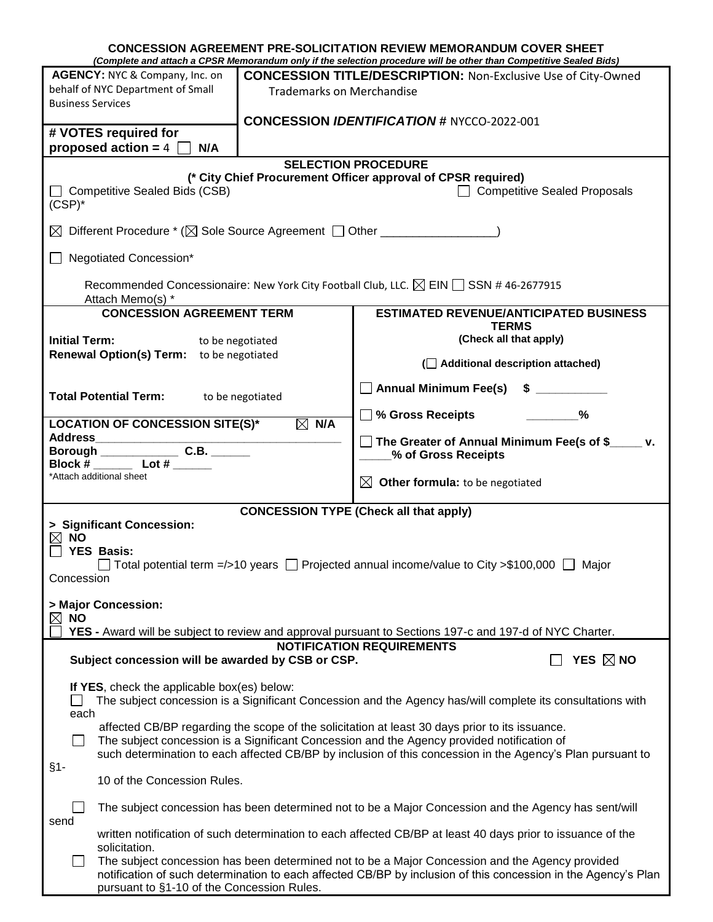|                                                                                                                                                           |                                                                                                                                                                                                          | <b>CONCESSION AGREEMENT PRE-SOLICITATION REVIEW MEMORANDUM COVER SHEET</b><br>(Complete and attach a CPSR Memorandum only if the selection procedure will be other than Competitive Sealed Bids)                  |  |  |  |  |
|-----------------------------------------------------------------------------------------------------------------------------------------------------------|----------------------------------------------------------------------------------------------------------------------------------------------------------------------------------------------------------|-------------------------------------------------------------------------------------------------------------------------------------------------------------------------------------------------------------------|--|--|--|--|
| AGENCY: NYC & Company, Inc. on                                                                                                                            |                                                                                                                                                                                                          | <b>CONCESSION TITLE/DESCRIPTION: Non-Exclusive Use of City-Owned</b>                                                                                                                                              |  |  |  |  |
| behalf of NYC Department of Small                                                                                                                         | <b>Trademarks on Merchandise</b>                                                                                                                                                                         |                                                                                                                                                                                                                   |  |  |  |  |
| <b>Business Services</b>                                                                                                                                  |                                                                                                                                                                                                          |                                                                                                                                                                                                                   |  |  |  |  |
|                                                                                                                                                           |                                                                                                                                                                                                          | <b>CONCESSION IDENTIFICATION # NYCCO-2022-001</b>                                                                                                                                                                 |  |  |  |  |
| # VOTES required for                                                                                                                                      |                                                                                                                                                                                                          |                                                                                                                                                                                                                   |  |  |  |  |
| proposed action = $4$ [<br>N/A                                                                                                                            |                                                                                                                                                                                                          |                                                                                                                                                                                                                   |  |  |  |  |
|                                                                                                                                                           |                                                                                                                                                                                                          | <b>SELECTION PROCEDURE</b>                                                                                                                                                                                        |  |  |  |  |
|                                                                                                                                                           |                                                                                                                                                                                                          | (* City Chief Procurement Officer approval of CPSR required)                                                                                                                                                      |  |  |  |  |
| Competitive Sealed Bids (CSB)<br>□ Competitive Sealed Proposals<br>$(CSP)^*$                                                                              |                                                                                                                                                                                                          |                                                                                                                                                                                                                   |  |  |  |  |
| $\boxtimes$ Different Procedure $^*(\boxtimes$ Sole Source Agreement $\[\Box$ Other ___________________                                                   |                                                                                                                                                                                                          |                                                                                                                                                                                                                   |  |  |  |  |
| Negotiated Concession*                                                                                                                                    |                                                                                                                                                                                                          |                                                                                                                                                                                                                   |  |  |  |  |
| Recommended Concessionaire: New York City Football Club, LLC. $\boxtimes$ EIN $\Box$ SSN # 46-2677915<br>Attach Memo(s) *                                 |                                                                                                                                                                                                          |                                                                                                                                                                                                                   |  |  |  |  |
| <b>CONCESSION AGREEMENT TERM</b>                                                                                                                          |                                                                                                                                                                                                          | <b>ESTIMATED REVENUE/ANTICIPATED BUSINESS</b>                                                                                                                                                                     |  |  |  |  |
| <b>Initial Term:</b><br>to be negotiated                                                                                                                  |                                                                                                                                                                                                          | <b>TERMS</b><br>(Check all that apply)                                                                                                                                                                            |  |  |  |  |
| Renewal Option(s) Term: to be negotiated                                                                                                                  |                                                                                                                                                                                                          | ( Additional description attached)                                                                                                                                                                                |  |  |  |  |
| <b>Total Potential Term:</b><br>to be negotiated                                                                                                          |                                                                                                                                                                                                          | Annual Minimum Fee(s) \$ __________                                                                                                                                                                               |  |  |  |  |
| <b>LOCATION OF CONCESSION SITE(S)*</b>                                                                                                                    | $\boxtimes$ N/A                                                                                                                                                                                          | $\square$ % Gross Receipts<br>$\%$                                                                                                                                                                                |  |  |  |  |
|                                                                                                                                                           |                                                                                                                                                                                                          | $\Box$ The Greater of Annual Minimum Fee(s of \$_____ v.                                                                                                                                                          |  |  |  |  |
| Borough C.B.<br>Block # $\rule{1em}{0.15mm}$ Lot # $\rule{1.5mm}{0.15mm}$                                                                                 |                                                                                                                                                                                                          | % of Gross Receipts                                                                                                                                                                                               |  |  |  |  |
| *Attach additional sheet                                                                                                                                  |                                                                                                                                                                                                          | $\boxtimes$ Other formula: to be negotiated                                                                                                                                                                       |  |  |  |  |
| <b>CONCESSION TYPE (Check all that apply)</b>                                                                                                             |                                                                                                                                                                                                          |                                                                                                                                                                                                                   |  |  |  |  |
| > Significant Concession:                                                                                                                                 |                                                                                                                                                                                                          |                                                                                                                                                                                                                   |  |  |  |  |
| $\boxtimes$ NO                                                                                                                                            |                                                                                                                                                                                                          |                                                                                                                                                                                                                   |  |  |  |  |
| <b>YES Basis:</b>                                                                                                                                         |                                                                                                                                                                                                          |                                                                                                                                                                                                                   |  |  |  |  |
|                                                                                                                                                           |                                                                                                                                                                                                          | $\Box$ Total potential term =/>10 years $\Box$ Projected annual income/value to City >\$100,000 $\Box$ Major                                                                                                      |  |  |  |  |
| Concession                                                                                                                                                |                                                                                                                                                                                                          |                                                                                                                                                                                                                   |  |  |  |  |
| > Major Concession:                                                                                                                                       |                                                                                                                                                                                                          |                                                                                                                                                                                                                   |  |  |  |  |
| <b>NO</b><br>$\boxtimes$                                                                                                                                  |                                                                                                                                                                                                          |                                                                                                                                                                                                                   |  |  |  |  |
|                                                                                                                                                           |                                                                                                                                                                                                          | YES - Award will be subject to review and approval pursuant to Sections 197-c and 197-d of NYC Charter.                                                                                                           |  |  |  |  |
| <b>NOTIFICATION REQUIREMENTS</b><br>YES $\boxtimes$ NO<br>Subject concession will be awarded by CSB or CSP.                                               |                                                                                                                                                                                                          |                                                                                                                                                                                                                   |  |  |  |  |
| If YES, check the applicable box(es) below:<br>The subject concession is a Significant Concession and the Agency has/will complete its consultations with |                                                                                                                                                                                                          |                                                                                                                                                                                                                   |  |  |  |  |
| each                                                                                                                                                      |                                                                                                                                                                                                          |                                                                                                                                                                                                                   |  |  |  |  |
| affected CB/BP regarding the scope of the solicitation at least 30 days prior to its issuance.                                                            |                                                                                                                                                                                                          |                                                                                                                                                                                                                   |  |  |  |  |
| $\mathsf{L}$                                                                                                                                              | The subject concession is a Significant Concession and the Agency provided notification of<br>such determination to each affected CB/BP by inclusion of this concession in the Agency's Plan pursuant to |                                                                                                                                                                                                                   |  |  |  |  |
| §1-<br>10 of the Concession Rules.                                                                                                                        |                                                                                                                                                                                                          |                                                                                                                                                                                                                   |  |  |  |  |
| send                                                                                                                                                      |                                                                                                                                                                                                          | The subject concession has been determined not to be a Major Concession and the Agency has sent/will                                                                                                              |  |  |  |  |
| solicitation.                                                                                                                                             |                                                                                                                                                                                                          | written notification of such determination to each affected CB/BP at least 40 days prior to issuance of the                                                                                                       |  |  |  |  |
| pursuant to §1-10 of the Concession Rules.                                                                                                                |                                                                                                                                                                                                          | The subject concession has been determined not to be a Major Concession and the Agency provided<br>notification of such determination to each affected CB/BP by inclusion of this concession in the Agency's Plan |  |  |  |  |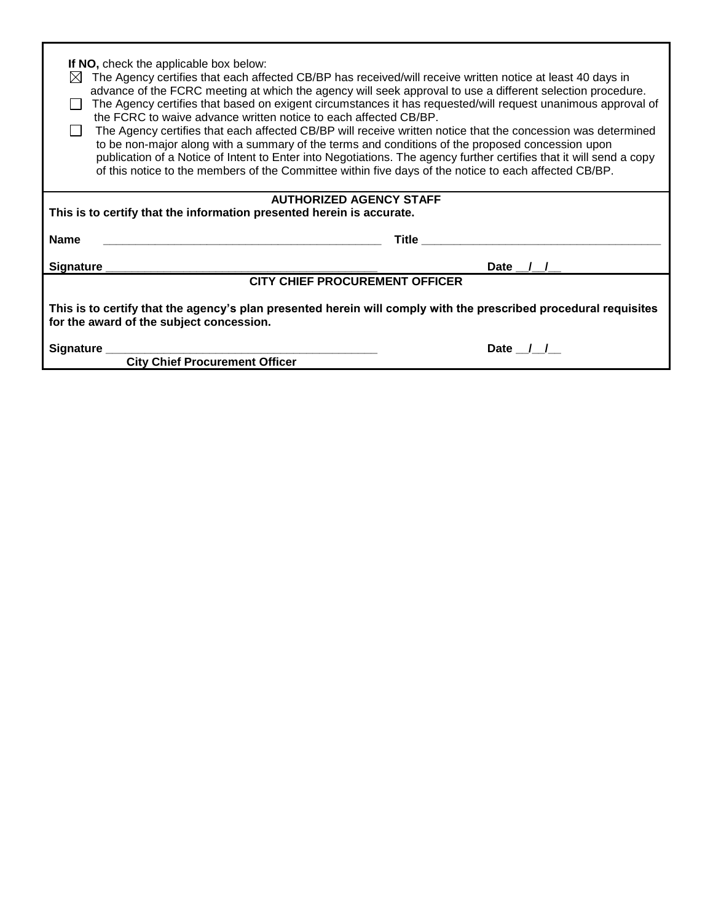| If NO, check the applicable box below:<br>The Agency certifies that each affected CB/BP has received/will receive written notice at least 40 days in<br>IХI<br>advance of the FCRC meeting at which the agency will seek approval to use a different selection procedure.<br>The Agency certifies that based on exigent circumstances it has requested/will request unanimous approval of<br>the FCRC to waive advance written notice to each affected CB/BP.<br>The Agency certifies that each affected CB/BP will receive written notice that the concession was determined<br>to be non-major along with a summary of the terms and conditions of the proposed concession upon<br>publication of a Notice of Intent to Enter into Negotiations. The agency further certifies that it will send a copy<br>of this notice to the members of the Committee within five days of the notice to each affected CB/BP. |              |  |  |  |
|-------------------------------------------------------------------------------------------------------------------------------------------------------------------------------------------------------------------------------------------------------------------------------------------------------------------------------------------------------------------------------------------------------------------------------------------------------------------------------------------------------------------------------------------------------------------------------------------------------------------------------------------------------------------------------------------------------------------------------------------------------------------------------------------------------------------------------------------------------------------------------------------------------------------|--------------|--|--|--|
| <b>AUTHORIZED AGENCY STAFF</b>                                                                                                                                                                                                                                                                                                                                                                                                                                                                                                                                                                                                                                                                                                                                                                                                                                                                                    |              |  |  |  |
| This is to certify that the information presented herein is accurate.                                                                                                                                                                                                                                                                                                                                                                                                                                                                                                                                                                                                                                                                                                                                                                                                                                             |              |  |  |  |
| <b>Name</b>                                                                                                                                                                                                                                                                                                                                                                                                                                                                                                                                                                                                                                                                                                                                                                                                                                                                                                       | <b>Title</b> |  |  |  |
| <b>Signature</b>                                                                                                                                                                                                                                                                                                                                                                                                                                                                                                                                                                                                                                                                                                                                                                                                                                                                                                  | Date         |  |  |  |
| <b>CITY CHIEF PROCUREMENT OFFICER</b>                                                                                                                                                                                                                                                                                                                                                                                                                                                                                                                                                                                                                                                                                                                                                                                                                                                                             |              |  |  |  |
| This is to certify that the agency's plan presented herein will comply with the prescribed procedural requisites<br>for the award of the subject concession.                                                                                                                                                                                                                                                                                                                                                                                                                                                                                                                                                                                                                                                                                                                                                      |              |  |  |  |
| Signature _                                                                                                                                                                                                                                                                                                                                                                                                                                                                                                                                                                                                                                                                                                                                                                                                                                                                                                       | Date / /     |  |  |  |
| <b>City Chief Procurement Officer</b>                                                                                                                                                                                                                                                                                                                                                                                                                                                                                                                                                                                                                                                                                                                                                                                                                                                                             |              |  |  |  |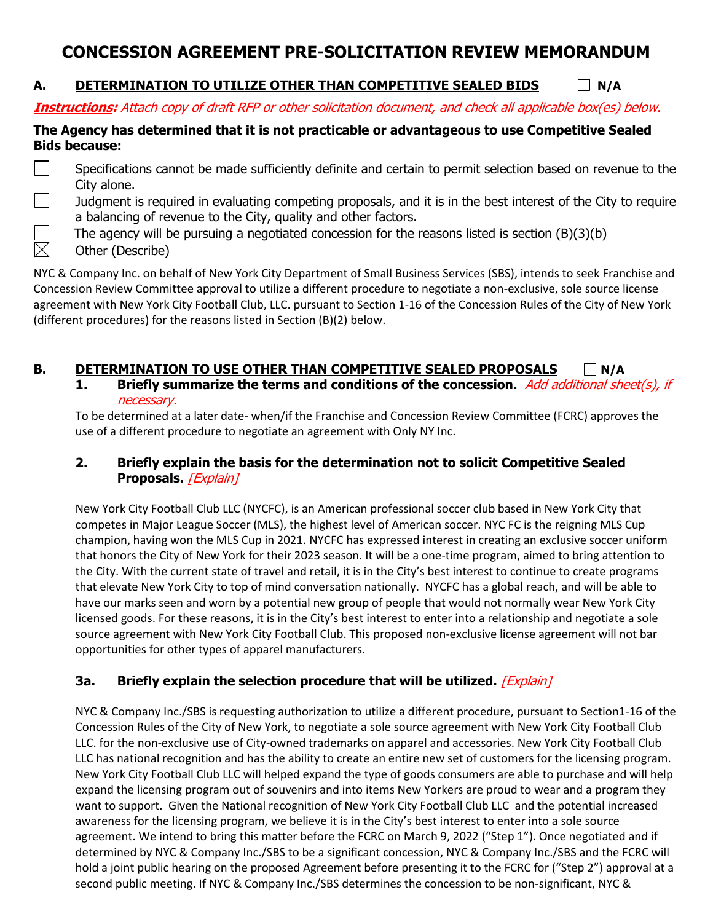# **CONCESSION AGREEMENT PRE-SOLICITATION REVIEW MEMORANDUM**

### **A. DETERMINATION TO UTILIZE OTHER THAN COMPETITIVE SEALED BIDS N/A**

**Instructions:** Attach copy of draft RFP or other solicitation document, and check all applicable box(es) below.

#### **The Agency has determined that it is not practicable or advantageous to use Competitive Sealed Bids because:**

- Specifications cannot be made sufficiently definite and certain to permit selection based on revenue to the City alone.
- Judgment is required in evaluating competing proposals, and it is in the best interest of the City to require a balancing of revenue to the City, quality and other factors.
	- The agency will be pursuing a negotiated concession for the reasons listed is section (B)(3)(b)
- **Other (Describe)**

 $\boxtimes$ 

NYC & Company Inc. on behalf of New York City Department of Small Business Services (SBS), intends to seek Franchise and Concession Review Committee approval to utilize a different procedure to negotiate a non-exclusive, sole source license agreement with New York City Football Club, LLC. pursuant to Section 1-16 of the Concession Rules of the City of New York (different procedures) for the reasons listed in Section (B)(2) below.

## **B. DETERMINATION TO USE OTHER THAN COMPETITIVE SEALED PROPOSALS N/A**

**1. Briefly summarize the terms and conditions of the concession.** Add additional sheet(s), if necessary.

To be determined at a later date- when/if the Franchise and Concession Review Committee (FCRC) approves the use of a different procedure to negotiate an agreement with Only NY Inc.

#### **2. Briefly explain the basis for the determination not to solicit Competitive Sealed**  Proposals. *[Explain]*

New York City Football Club LLC (NYCFC), is an American professional soccer club based in New York City that competes in Major League Soccer (MLS), the highest level of American soccer. NYC FC is the reigning MLS Cup champion, having won the MLS Cup in 2021. NYCFC has expressed interest in creating an exclusive soccer uniform that honors the City of New York for their 2023 season. It will be a one-time program, aimed to bring attention to the City. With the current state of travel and retail, it is in the City's best interest to continue to create programs that elevate New York City to top of mind conversation nationally. NYCFC has a global reach, and will be able to have our marks seen and worn by a potential new group of people that would not normally wear New York City licensed goods. For these reasons, it is in the City's best interest to enter into a relationship and negotiate a sole source agreement with New York City Football Club. This proposed non-exclusive license agreement will not bar opportunities for other types of apparel manufacturers.

#### **3a. Briefly explain the selection procedure that will be utilized.** [Explain]

NYC & Company Inc./SBS is requesting authorization to utilize a different procedure, pursuant to Section1-16 of the Concession Rules of the City of New York, to negotiate a sole source agreement with New York City Football Club LLC. for the non-exclusive use of City-owned trademarks on apparel and accessories. New York City Football Club LLC has national recognition and has the ability to create an entire new set of customers for the licensing program. New York City Football Club LLC will helped expand the type of goods consumers are able to purchase and will help expand the licensing program out of souvenirs and into items New Yorkers are proud to wear and a program they want to support. Given the National recognition of New York City Football Club LLC and the potential increased awareness for the licensing program, we believe it is in the City's best interest to enter into a sole source agreement. We intend to bring this matter before the FCRC on March 9, 2022 ("Step 1"). Once negotiated and if determined by NYC & Company Inc./SBS to be a significant concession, NYC & Company Inc./SBS and the FCRC will hold a joint public hearing on the proposed Agreement before presenting it to the FCRC for ("Step 2") approval at a second public meeting. If NYC & Company Inc./SBS determines the concession to be non-significant, NYC &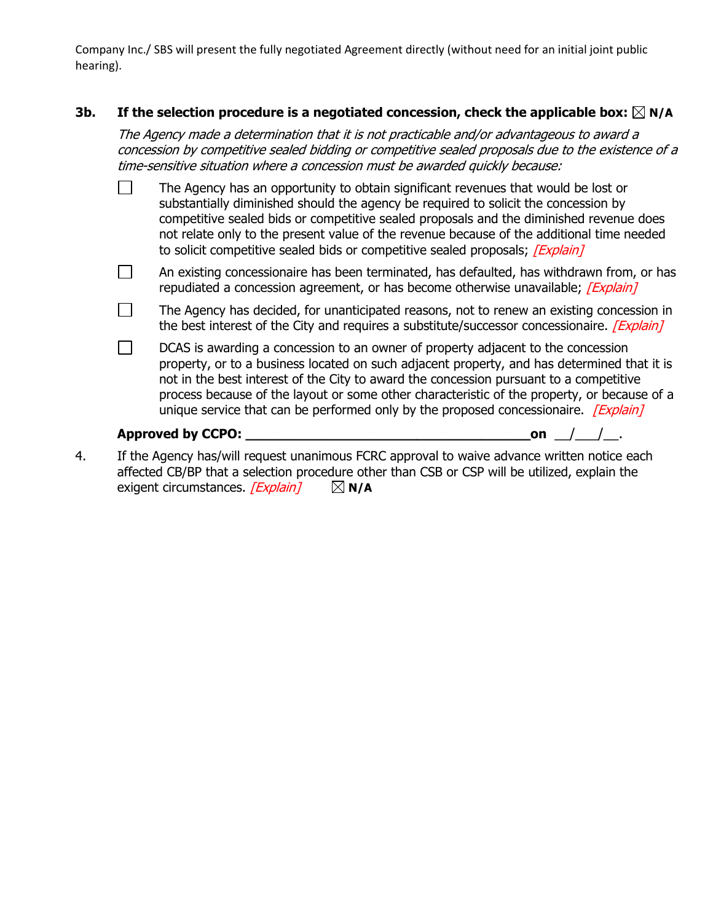Company Inc./ SBS will present the fully negotiated Agreement directly (without need for an initial joint public hearing).

#### **3b. If the selection procedure is a negotiated concession, check the applicable box: N/A**

The Agency made a determination that it is not practicable and/or advantageous to award a concession by competitive sealed bidding or competitive sealed proposals due to the existence of a time-sensitive situation where a concession must be awarded quickly because:

- $\Box$ The Agency has an opportunity to obtain significant revenues that would be lost or substantially diminished should the agency be required to solicit the concession by competitive sealed bids or competitive sealed proposals and the diminished revenue does not relate only to the present value of the revenue because of the additional time needed to solicit competitive sealed bids or competitive sealed proposals; [Explain]
- $\Box$ An existing concessionaire has been terminated, has defaulted, has withdrawn from, or has repudiated a concession agreement, or has become otherwise unavailable; [Explain]
- $\Box$ The Agency has decided, for unanticipated reasons, not to renew an existing concession in the best interest of the City and requires a substitute/successor concessionaire. *[Explain]*
- $\Box$ DCAS is awarding a concession to an owner of property adjacent to the concession property, or to a business located on such adjacent property, and has determined that it is not in the best interest of the City to award the concession pursuant to a competitive process because of the layout or some other characteristic of the property, or because of a unique service that can be performed only by the proposed concessionaire.  $[Explain]$

#### **Approved by CCPO: \_\_\_\_\_\_\_\_\_\_\_\_\_\_\_\_\_\_\_\_\_\_\_\_\_\_\_\_\_\_\_\_\_\_\_on** \_\_/\_\_\_/\_\_.

4. If the Agency has/will request unanimous FCRC approval to waive advance written notice each affected CB/BP that a selection procedure other than CSB or CSP will be utilized, explain the exigent circumstances.  $\sqrt{Explain}$   $\Box$  **N/A**